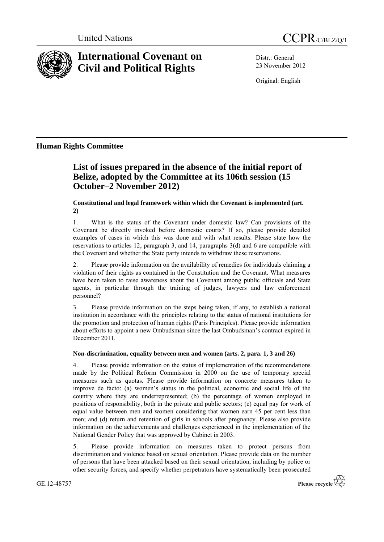



# **International Covenant on Civil and Political Rights**

Distr.: General 23 November 2012

Original: English

# **Human Rights Committee**

# **List of issues prepared in the absence of the initial report of Belize, adopted by the Committee at its 106th session (15 October–2 November 2012)**

**Constitutional and legal framework within which the Covenant is implemented (art. 2)**

1. What is the status of the Covenant under domestic law? Can provisions of the Covenant be directly invoked before domestic courts? If so, please provide detailed examples of cases in which this was done and with what results. Please state how the reservations to articles 12, paragraph 3, and 14, paragraphs  $3(d)$  and 6 are compatible with the Covenant and whether the State party intends to withdraw these reservations.

2. Please provide information on the availability of remedies for individuals claiming a violation of their rights as contained in the Constitution and the Covenant. What measures have been taken to raise awareness about the Covenant among public officials and State agents, in particular through the training of judges, lawyers and law enforcement personnel?

3. Please provide information on the steps being taken, if any, to establish a national institution in accordance with the principles relating to the status of national institutions for the promotion and protection of human rights (Paris Principles). Please provide information about efforts to appoint a new Ombudsman since the last Ombudsman's contract expired in December 2011.

# **Non-discrimination, equality between men and women (arts. 2, para. 1, 3 and 26)**

4. Please provide information on the status of implementation of the recommendations made by the Political Reform Commission in 2000 on the use of temporary special measures such as quotas. Please provide information on concrete measures taken to improve de facto: (a) women's status in the political, economic and social life of the country where they are underrepresented; (b) the percentage of women employed in positions of responsibility, both in the private and public sectors; (c) equal pay for work of equal value between men and women considering that women earn 45 per cent less than men; and (d) return and retention of girls in schools after pregnancy. Please also provide information on the achievements and challenges experienced in the implementation of the National Gender Policy that was approved by Cabinet in 2003.

5. Please provide information on measures taken to protect persons from discrimination and violence based on sexual orientation. Please provide data on the number of persons that have been attacked based on their sexual orientation, including by police or other security forces, and specify whether perpetrators have systematically been prosecuted

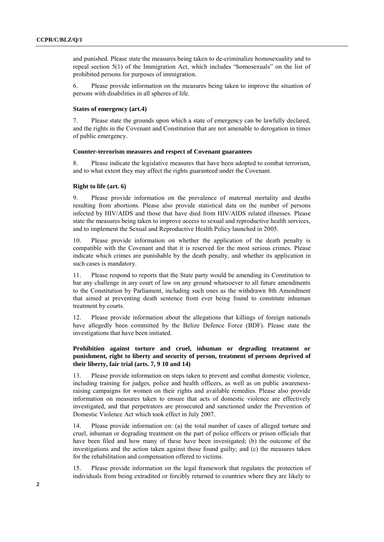and punished. Please state the measures being taken to de-criminalize homosexuality and to repeal section 5(1) of the Immigration Act, which includes "homosexuals" on the list of prohibited persons for purposes of immigration.

6. Please provide information on the measures being taken to improve the situation of persons with disabilities in all spheres of life.

# **States of emergency (art.4)**

7. Please state the grounds upon which a state of emergency can be lawfully declared, and the rights in the Covenant and Constitution that are not amenable to derogation in times of public emergency.

#### **Counter-terrorism measures and respect of Covenant guarantees**

8. Please indicate the legislative measures that have been adopted to combat terrorism, and to what extent they may affect the rights guaranteed under the Covenant.

# **Right to life (art. 6)**

9. Please provide information on the prevalence of maternal mortality and deaths resulting from abortions. Please also provide statistical data on the number of persons infected by HIV/AIDS and those that have died from HIV/AIDS related illnesses. Please state the measures being taken to improve access to sexual and reproductive health services, and to implement the Sexual and Reproductive Health Policy launched in 2005.

10. Please provide information on whether the application of the death penalty is compatible with the Covenant and that it is reserved for the most serious crimes. Please indicate which crimes are punishable by the death penalty, and whether its application in such cases is mandatory.

11. Please respond to reports that the State party would be amending its Constitution to bar any challenge in any court of law on any ground whatsoever to all future amendments to the Constitution by Parliament, including such ones as the withdrawn 8th Amendment that aimed at preventing death sentence from ever being found to constitute inhuman treatment by courts.

12. Please provide information about the allegations that killings of foreign nationals have allegedly been committed by the Belize Defence Force (BDF). Please state the investigations that have been initiated.

# **Prohibition against torture and cruel, inhuman or degrading treatment or punishment, right to liberty and security of person, treatment of persons deprived of their liberty, fair trial (arts. 7, 9 10 and 14)**

13. Please provide information on steps taken to prevent and combat domestic violence, including training for judges, police and health officers, as well as on public awarenessraising campaigns for women on their rights and available remedies. Please also provide information on measures taken to ensure that acts of domestic violence are effectively investigated, and that perpetrators are prosecuted and sanctioned under the Prevention of Domestic Violence Act which took effect in July 2007.

14. Please provide information on: (a) the total number of cases of alleged torture and cruel, inhuman or degrading treatment on the part of police officers or prison officials that have been filed and how many of these have been investigated; (b) the outcome of the investigations and the action taken against those found guilty; and (c) the measures taken for the rehabilitation and compensation offered to victims.

15. Please provide information on the legal framework that regulates the protection of individuals from being extradited or forcibly returned to countries where they are likely to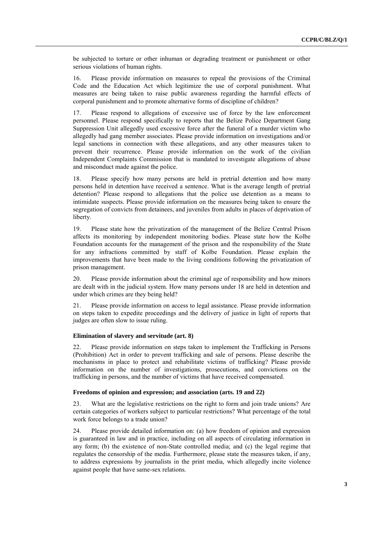be subjected to torture or other inhuman or degrading treatment or punishment or other serious violations of human rights.

16. Please provide information on measures to repeal the provisions of the Criminal Code and the Education Act which legitimize the use of corporal punishment. What measures are being taken to raise public awareness regarding the harmful effects of corporal punishment and to promote alternative forms of discipline of children?

17. Please respond to allegations of excessive use of force by the law enforcement personnel. Please respond specifically to reports that the Belize Police Department Gang Suppression Unit allegedly used excessive force after the funeral of a murder victim who allegedly had gang member associates. Please provide information on investigations and/or legal sanctions in connection with these allegations, and any other measures taken to prevent their recurrence. Please provide information on the work of the civilian Independent Complaints Commission that is mandated to investigate allegations of abuse and misconduct made against the police.

18. Please specify how many persons are held in pretrial detention and how many persons held in detention have received a sentence. What is the average length of pretrial detention? Please respond to allegations that the police use detention as a means to intimidate suspects. Please provide information on the measures being taken to ensure the segregation of convicts from detainees, and juveniles from adults in places of deprivation of liberty.

19. Please state how the privatization of the management of the Belize Central Prison affects its monitoring by independent monitoring bodies. Please state how the Kolbe Foundation accounts for the management of the prison and the responsibility of the State for any infractions committed by staff of Kolbe Foundation. Please explain the improvements that have been made to the living conditions following the privatization of prison management.

20. Please provide information about the criminal age of responsibility and how minors are dealt with in the judicial system. How many persons under 18 are held in detention and under which crimes are they being held?

21. Please provide information on access to legal assistance. Please provide information on steps taken to expedite proceedings and the delivery of justice in light of reports that judges are often slow to issue ruling.

### **Elimination of slavery and servitude (art. 8)**

22. Please provide information on steps taken to implement the Trafficking in Persons (Prohibition) Act in order to prevent trafficking and sale of persons. Please describe the mechanisms in place to protect and rehabilitate victims of trafficking? Please provide information on the number of investigations, prosecutions, and convictions on the trafficking in persons, and the number of victims that have received compensated.

# **Freedoms of opinion and expression; and association (arts. 19 and 22)**

23. What are the legislative restrictions on the right to form and join trade unions? Are certain categories of workers subject to particular restrictions? What percentage of the total work force belongs to a trade union?

24. Please provide detailed information on: (a) how freedom of opinion and expression is guaranteed in law and in practice, including on all aspects of circulating information in any form; (b) the existence of non-State controlled media; and (c) the legal regime that regulates the censorship of the media. Furthermore, please state the measures taken, if any, to address expressions by journalists in the print media, which allegedly incite violence against people that have same-sex relations.